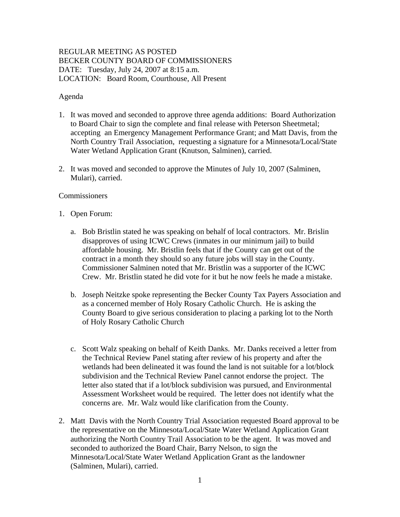## REGULAR MEETING AS POSTED BECKER COUNTY BOARD OF COMMISSIONERS DATE: Tuesday, July 24, 2007 at 8:15 a.m. LOCATION: Board Room, Courthouse, All Present

### Agenda

- 1. It was moved and seconded to approve three agenda additions: Board Authorization to Board Chair to sign the complete and final release with Peterson Sheetmetal; accepting an Emergency Management Performance Grant; and Matt Davis, from the North Country Trail Association, requesting a signature for a Minnesota/Local/State Water Wetland Application Grant (Knutson, Salminen), carried.
- 2. It was moved and seconded to approve the Minutes of July 10, 2007 (Salminen, Mulari), carried.

#### **Commissioners**

- 1. Open Forum:
	- a. Bob Bristlin stated he was speaking on behalf of local contractors. Mr. Brislin disapproves of using ICWC Crews (inmates in our minimum jail) to build affordable housing. Mr. Bristlin feels that if the County can get out of the contract in a month they should so any future jobs will stay in the County. Commissioner Salminen noted that Mr. Bristlin was a supporter of the ICWC Crew. Mr. Bristlin stated he did vote for it but he now feels he made a mistake.
	- b. Joseph Neitzke spoke representing the Becker County Tax Payers Association and as a concerned member of Holy Rosary Catholic Church. He is asking the County Board to give serious consideration to placing a parking lot to the North of Holy Rosary Catholic Church
	- c. Scott Walz speaking on behalf of Keith Danks. Mr. Danks received a letter from the Technical Review Panel stating after review of his property and after the wetlands had been delineated it was found the land is not suitable for a lot/block subdivision and the Technical Review Panel cannot endorse the project. The letter also stated that if a lot/block subdivision was pursued, and Environmental Assessment Worksheet would be required. The letter does not identify what the concerns are. Mr. Walz would like clarification from the County.
- 2. Matt Davis with the North Country Trial Association requested Board approval to be the representative on the Minnesota/Local/State Water Wetland Application Grant authorizing the North Country Trail Association to be the agent. It was moved and seconded to authorized the Board Chair, Barry Nelson, to sign the Minnesota/Local/State Water Wetland Application Grant as the landowner (Salminen, Mulari), carried.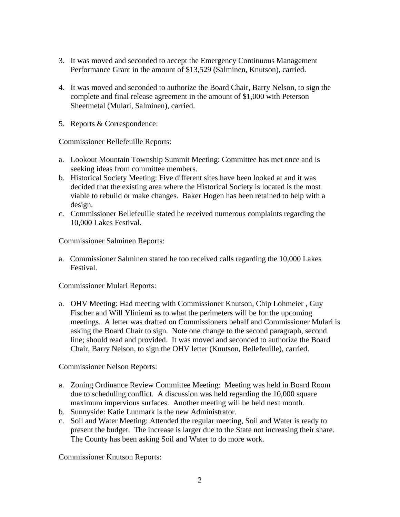- 3. It was moved and seconded to accept the Emergency Continuous Management Performance Grant in the amount of \$13,529 (Salminen, Knutson), carried.
- 4. It was moved and seconded to authorize the Board Chair, Barry Nelson, to sign the complete and final release agreement in the amount of \$1,000 with Peterson Sheetmetal (Mulari, Salminen), carried.
- 5. Reports & Correspondence:

Commissioner Bellefeuille Reports:

- a. Lookout Mountain Township Summit Meeting: Committee has met once and is seeking ideas from committee members.
- b. Historical Society Meeting: Five different sites have been looked at and it was decided that the existing area where the Historical Society is located is the most viable to rebuild or make changes. Baker Hogen has been retained to help with a design.
- c. Commissioner Bellefeuille stated he received numerous complaints regarding the 10,000 Lakes Festival.

Commissioner Salminen Reports:

a. Commissioner Salminen stated he too received calls regarding the 10,000 Lakes Festival.

Commissioner Mulari Reports:

a. OHV Meeting: Had meeting with Commissioner Knutson, Chip Lohmeier , Guy Fischer and Will Yliniemi as to what the perimeters will be for the upcoming meetings. A letter was drafted on Commissioners behalf and Commissioner Mulari is asking the Board Chair to sign. Note one change to the second paragraph, second line; should read and provided. It was moved and seconded to authorize the Board Chair, Barry Nelson, to sign the OHV letter (Knutson, Bellefeuille), carried.

Commissioner Nelson Reports:

- a. Zoning Ordinance Review Committee Meeting: Meeting was held in Board Room due to scheduling conflict. A discussion was held regarding the 10,000 square maximum impervious surfaces. Another meeting will be held next month.
- b. Sunnyside: Katie Lunmark is the new Administrator.
- c. Soil and Water Meeting: Attended the regular meeting, Soil and Water is ready to present the budget. The increase is larger due to the State not increasing their share. The County has been asking Soil and Water to do more work.

Commissioner Knutson Reports: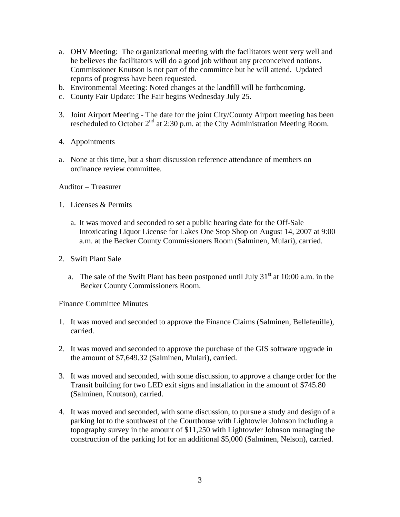- a. OHV Meeting: The organizational meeting with the facilitators went very well and he believes the facilitators will do a good job without any preconceived notions. Commissioner Knutson is not part of the committee but he will attend. Updated reports of progress have been requested.
- b. Environmental Meeting: Noted changes at the landfill will be forthcoming.
- c. County Fair Update: The Fair begins Wednesday July 25.
- 3. Joint Airport Meeting The date for the joint City/County Airport meeting has been rescheduled to October 2<sup>nd</sup> at 2:30 p.m. at the City Administration Meeting Room.
- 4. Appointments
- a. None at this time, but a short discussion reference attendance of members on ordinance review committee.

Auditor – Treasurer

- 1. Licenses & Permits
	- a. It was moved and seconded to set a public hearing date for the Off-Sale Intoxicating Liquor License for Lakes One Stop Shop on August 14, 2007 at 9:00 a.m. at the Becker County Commissioners Room (Salminen, Mulari), carried.
- 2. Swift Plant Sale
	- a. The sale of the Swift Plant has been postponed until July  $31<sup>st</sup>$  at 10:00 a.m. in the Becker County Commissioners Room.

Finance Committee Minutes

- 1. It was moved and seconded to approve the Finance Claims (Salminen, Bellefeuille), carried.
- 2. It was moved and seconded to approve the purchase of the GIS software upgrade in the amount of \$7,649.32 (Salminen, Mulari), carried.
- 3. It was moved and seconded, with some discussion, to approve a change order for the Transit building for two LED exit signs and installation in the amount of \$745.80 (Salminen, Knutson), carried.
- 4. It was moved and seconded, with some discussion, to pursue a study and design of a parking lot to the southwest of the Courthouse with Lightowler Johnson including a topography survey in the amount of \$11,250 with Lightowler Johnson managing the construction of the parking lot for an additional \$5,000 (Salminen, Nelson), carried.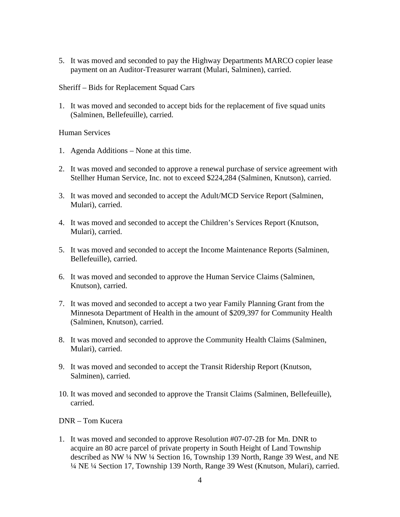5. It was moved and seconded to pay the Highway Departments MARCO copier lease payment on an Auditor-Treasurer warrant (Mulari, Salminen), carried.

Sheriff – Bids for Replacement Squad Cars

1. It was moved and seconded to accept bids for the replacement of five squad units (Salminen, Bellefeuille), carried.

### Human Services

- 1. Agenda Additions None at this time.
- 2. It was moved and seconded to approve a renewal purchase of service agreement with Stellher Human Service, Inc. not to exceed \$224,284 (Salminen, Knutson), carried.
- 3. It was moved and seconded to accept the Adult/MCD Service Report (Salminen, Mulari), carried.
- 4. It was moved and seconded to accept the Children's Services Report (Knutson, Mulari), carried.
- 5. It was moved and seconded to accept the Income Maintenance Reports (Salminen, Bellefeuille), carried.
- 6. It was moved and seconded to approve the Human Service Claims (Salminen, Knutson), carried.
- 7. It was moved and seconded to accept a two year Family Planning Grant from the Minnesota Department of Health in the amount of \$209,397 for Community Health (Salminen, Knutson), carried.
- 8. It was moved and seconded to approve the Community Health Claims (Salminen, Mulari), carried.
- 9. It was moved and seconded to accept the Transit Ridership Report (Knutson, Salminen), carried.
- 10. It was moved and seconded to approve the Transit Claims (Salminen, Bellefeuille), carried.

### DNR – Tom Kucera

1. It was moved and seconded to approve Resolution #07-07-2B for Mn. DNR to acquire an 80 acre parcel of private property in South Height of Land Township described as NW ¼ NW ¼ Section 16, Township 139 North, Range 39 West, and NE ¼ NE ¼ Section 17, Township 139 North, Range 39 West (Knutson, Mulari), carried.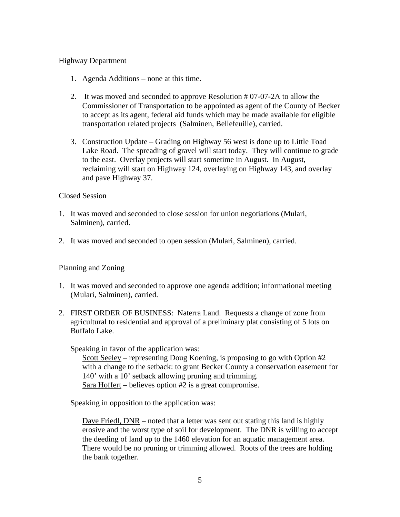### Highway Department

- 1. Agenda Additions none at this time.
- 2. It was moved and seconded to approve Resolution # 07-07-2A to allow the Commissioner of Transportation to be appointed as agent of the County of Becker to accept as its agent, federal aid funds which may be made available for eligible transportation related projects (Salminen, Bellefeuille), carried.
- 3. Construction Update Grading on Highway 56 west is done up to Little Toad Lake Road. The spreading of gravel will start today. They will continue to grade to the east. Overlay projects will start sometime in August. In August, reclaiming will start on Highway 124, overlaying on Highway 143, and overlay and pave Highway 37.

### Closed Session

- 1. It was moved and seconded to close session for union negotiations (Mulari, Salminen), carried.
- 2. It was moved and seconded to open session (Mulari, Salminen), carried.

# Planning and Zoning

- 1. It was moved and seconded to approve one agenda addition; informational meeting (Mulari, Salminen), carried.
- 2. FIRST ORDER OF BUSINESS: Naterra Land. Requests a change of zone from agricultural to residential and approval of a preliminary plat consisting of 5 lots on Buffalo Lake.

Speaking in favor of the application was:

Scott Seeley – representing Doug Koening, is proposing to go with Option #2 with a change to the setback: to grant Becker County a conservation easement for 140' with a 10' setback allowing pruning and trimming. Sara Hoffert – believes option #2 is a great compromise.

Speaking in opposition to the application was:

Dave Friedl, DNR – noted that a letter was sent out stating this land is highly erosive and the worst type of soil for development. The DNR is willing to accept the deeding of land up to the 1460 elevation for an aquatic management area. There would be no pruning or trimming allowed. Roots of the trees are holding the bank together.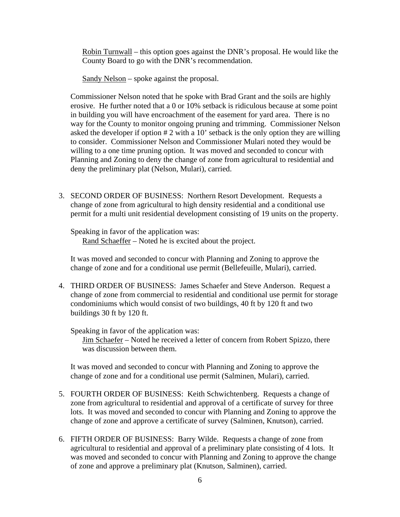Robin Turnwall – this option goes against the DNR's proposal. He would like the County Board to go with the DNR's recommendation.

Sandy Nelson – spoke against the proposal.

Commissioner Nelson noted that he spoke with Brad Grant and the soils are highly erosive. He further noted that a 0 or 10% setback is ridiculous because at some point in building you will have encroachment of the easement for yard area. There is no way for the County to monitor ongoing pruning and trimming. Commissioner Nelson asked the developer if option # 2 with a 10' setback is the only option they are willing to consider. Commissioner Nelson and Commissioner Mulari noted they would be willing to a one time pruning option. It was moved and seconded to concur with Planning and Zoning to deny the change of zone from agricultural to residential and deny the preliminary plat (Nelson, Mulari), carried.

3. SECOND ORDER OF BUSINESS: Northern Resort Development. Requests a change of zone from agricultural to high density residential and a conditional use permit for a multi unit residential development consisting of 19 units on the property.

Speaking in favor of the application was: Rand Schaeffer – Noted he is excited about the project.

 It was moved and seconded to concur with Planning and Zoning to approve the change of zone and for a conditional use permit (Bellefeuille, Mulari), carried.

4. THIRD ORDER OF BUSINESS: James Schaefer and Steve Anderson. Request a change of zone from commercial to residential and conditional use permit for storage condominiums which would consist of two buildings, 40 ft by 120 ft and two buildings 30 ft by 120 ft.

Speaking in favor of the application was:

Jim Schaefer – Noted he received a letter of concern from Robert Spizzo, there was discussion between them.

It was moved and seconded to concur with Planning and Zoning to approve the change of zone and for a conditional use permit (Salminen, Mulari), carried.

- 5. FOURTH ORDER OF BUSINESS: Keith Schwichtenberg. Requests a change of zone from agricultural to residential and approval of a certificate of survey for three lots. It was moved and seconded to concur with Planning and Zoning to approve the change of zone and approve a certificate of survey (Salminen, Knutson), carried.
- 6. FIFTH ORDER OF BUSINESS: Barry Wilde. Requests a change of zone from agricultural to residential and approval of a preliminary plate consisting of 4 lots. It was moved and seconded to concur with Planning and Zoning to approve the change of zone and approve a preliminary plat (Knutson, Salminen), carried.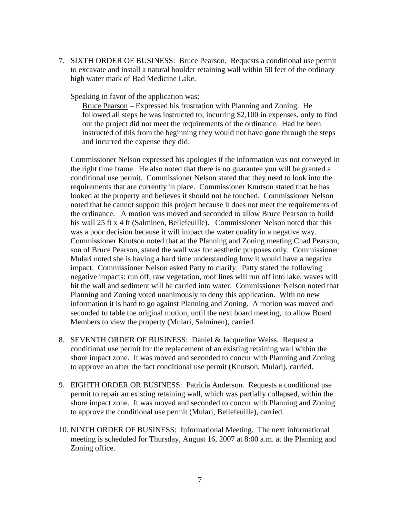7. SIXTH ORDER OF BUSINESS: Bruce Pearson. Requests a conditional use permit to excavate and install a natural boulder retaining wall within 50 feet of the ordinary high water mark of Bad Medicine Lake.

Speaking in favor of the application was:

Bruce Pearson – Expressed his frustration with Planning and Zoning. He followed all steps he was instructed to; incurring \$2,100 in expenses, only to find out the project did not meet the requirements of the ordinance. Had he been instructed of this from the beginning they would not have gone through the steps and incurred the expense they did.

Commissioner Nelson expressed his apologies if the information was not conveyed in the right time frame. He also noted that there is no guarantee you will be granted a conditional use permit. Commissioner Nelson stated that they need to look into the requirements that are currently in place. Commissioner Knutson stated that he has looked at the property and believes it should not be touched. Commissioner Nelson noted that he cannot support this project because it does not meet the requirements of the ordinance. A motion was moved and seconded to allow Bruce Pearson to build his wall 25 ft x 4 ft (Salminen, Bellefeuille). Commissioner Nelson noted that this was a poor decision because it will impact the water quality in a negative way. Commissioner Knutson noted that at the Planning and Zoning meeting Chad Pearson, son of Bruce Pearson, stated the wall was for aesthetic purposes only. Commissioner Mulari noted she is having a hard time understanding how it would have a negative impact. Commissioner Nelson asked Patty to clarify. Patty stated the following negative impacts: run off, raw vegetation, roof lines will run off into lake, waves will hit the wall and sediment will be carried into water. Commissioner Nelson noted that Planning and Zoning voted unanimously to deny this application. With no new information it is hard to go against Planning and Zoning. A motion was moved and seconded to table the original motion, until the next board meeting, to allow Board Members to view the property (Mulari, Salminen), carried.

- 8. SEVENTH ORDER OF BUSINESS: Daniel & Jacqueline Weiss. Request a conditional use permit for the replacement of an existing retaining wall within the shore impact zone. It was moved and seconded to concur with Planning and Zoning to approve an after the fact conditional use permit (Knutson, Mulari), carried.
- 9. EIGHTH ORDER OR BUSINESS: Patricia Anderson. Requests a conditional use permit to repair an existing retaining wall, which was partially collapsed, within the shore impact zone. It was moved and seconded to concur with Planning and Zoning to approve the conditional use permit (Mulari, Bellefeuille), carried.
- 10. NINTH ORDER OF BUSINESS: Informational Meeting. The next informational meeting is scheduled for Thursday, August 16, 2007 at 8:00 a.m. at the Planning and Zoning office.